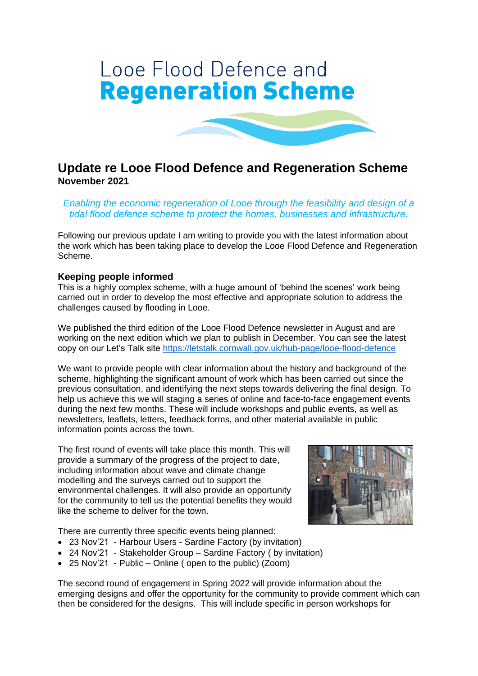# Looe Flood Defence and **Regeneration Scheme**

# **Update re Looe Flood Defence and Regeneration Scheme November 2021**

*Enabling the economic regeneration of Looe through the feasibility and design of a tidal flood defence scheme to protect the homes, businesses and infrastructure.*

Following our previous update I am writing to provide you with the latest information about the work which has been taking place to develop the Looe Flood Defence and Regeneration Scheme.

#### **Keeping people informed**

This is a highly complex scheme, with a huge amount of 'behind the scenes' work being carried out in order to develop the most effective and appropriate solution to address the challenges caused by flooding in Looe.

We published the third edition of the Looe Flood Defence newsletter in August and are working on the next edition which we plan to publish in December. You can see the latest copy on our Let's Talk site<https://letstalk.cornwall.gov.uk/hub-page/looe-flood-defence>

We want to provide people with clear information about the history and background of the scheme, highlighting the significant amount of work which has been carried out since the previous consultation, and identifying the next steps towards delivering the final design. To help us achieve this we will staging a series of online and face-to-face engagement events during the next few months. These will include workshops and public events, as well as newsletters, leaflets, letters, feedback forms, and other material available in public information points across the town.

The first round of events will take place this month. This will provide a summary of the progress of the project to date, including information about wave and climate change modelling and the surveys carried out to support the environmental challenges. It will also provide an opportunity for the community to tell us the potential benefits they would like the scheme to deliver for the town.

There are currently three specific events being planned:

- 23 Nov'21 Harbour Users Sardine Factory (by invitation)
- 24 Nov'21 Stakeholder Group Sardine Factory (by invitation)
- 25 Nov'21 Public Online ( open to the public) (Zoom)

The second round of engagement in Spring 2022 will provide information about the emerging designs and offer the opportunity for the community to provide comment which can then be considered for the designs. This will include specific in person workshops for

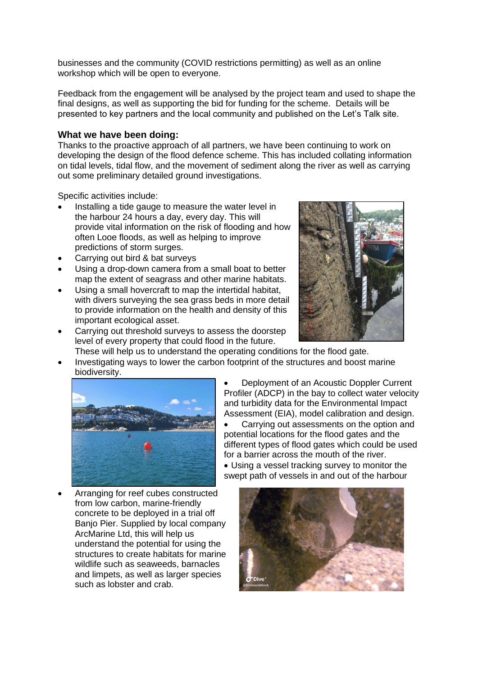businesses and the community (COVID restrictions permitting) as well as an online workshop which will be open to everyone.

Feedback from the engagement will be analysed by the project team and used to shape the final designs, as well as supporting the bid for funding for the scheme. Details will be presented to key partners and the local community and published on the Let's Talk site.

#### **What we have been doing:**

Thanks to the proactive approach of all partners, we have been continuing to work on developing the design of the flood defence scheme. This has included collating information on tidal levels, tidal flow, and the movement of sediment along the river as well as carrying out some preliminary detailed ground investigations.

Specific activities include:

- Installing a tide gauge to measure the water level in the harbour 24 hours a day, every day. This will provide vital information on the risk of flooding and how often Looe floods, as well as helping to improve predictions of storm surges.
- Carrying out bird & bat surveys
- Using a drop-down camera from a small boat to better map the extent of seagrass and other marine habitats.
- Using a small hovercraft to map the intertidal habitat, with divers surveying the sea grass beds in more detail to provide information on the health and density of this important ecological asset.
- Carrying out threshold surveys to assess the doorstep level of every property that could flood in the future.



- These will help us to understand the operating conditions for the flood gate.
- Investigating ways to lower the carbon footprint of the structures and boost marine biodiversity.



• Arranging for reef cubes constructed from low carbon, marine-friendly concrete to be deployed in a trial off Banjo Pier. Supplied by local company ArcMarine Ltd, this will help us understand the potential for using the structures to create habitats for marine wildlife such as seaweeds, barnacles and limpets, as well as larger species such as lobster and crab.

• Deployment of an Acoustic Doppler Current Profiler (ADCP) in the bay to collect water velocity and turbidity data for the Environmental Impact Assessment (EIA), model calibration and design.

• Carrying out assessments on the option and potential locations for the flood gates and the different types of flood gates which could be used for a barrier across the mouth of the river.

• Using a vessel tracking survey to monitor the swept path of vessels in and out of the harbour